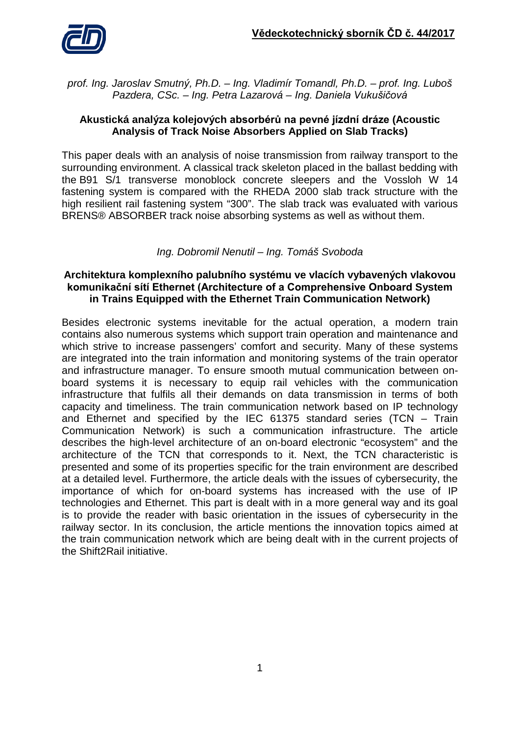

*prof. Ing. Jaroslav Smutný, Ph.D. – Ing. Vladimír Tomandl, Ph.D. – prof. Ing. Luboš Pazdera, CSc. – Ing. Petra Lazarová – Ing. Daniela Vukušičová*

### **Akustická analýza kolejových absorbérů na pevné jízdní dráze (Acoustic Analysis of Track Noise Absorbers Applied on Slab Tracks)**

This paper deals with an analysis of noise transmission from railway transport to the surrounding environment. A classical track skeleton placed in the ballast bedding with the B91 S/1 transverse monoblock concrete sleepers and the Vossloh W 14 fastening system is compared with the RHEDA 2000 slab track structure with the high resilient rail fastening system "300". The slab track was evaluated with various BRENS® ABSORBER track noise absorbing systems as well as without them.

## *Ing. Dobromil Nenutil – Ing. Tomáš Svoboda*

## **Architektura komplexního palubního systému ve vlacích vybavených vlakovou komunikační sítí Ethernet (Architecture of a Comprehensive Onboard System in Trains Equipped with the Ethernet Train Communication Network)**

Besides electronic systems inevitable for the actual operation, a modern train contains also numerous systems which support train operation and maintenance and which strive to increase passengers' comfort and security. Many of these systems are integrated into the train information and monitoring systems of the train operator and infrastructure manager. To ensure smooth mutual communication between onboard systems it is necessary to equip rail vehicles with the communication infrastructure that fulfils all their demands on data transmission in terms of both capacity and timeliness. The train communication network based on IP technology and Ethernet and specified by the IEC 61375 standard series (TCN – Train Communication Network) is such a communication infrastructure. The article describes the high-level architecture of an on-board electronic "ecosystem" and the architecture of the TCN that corresponds to it. Next, the TCN characteristic is presented and some of its properties specific for the train environment are described at a detailed level. Furthermore, the article deals with the issues of cybersecurity, the importance of which for on-board systems has increased with the use of IP technologies and Ethernet. This part is dealt with in a more general way and its goal is to provide the reader with basic orientation in the issues of cybersecurity in the railway sector. In its conclusion, the article mentions the innovation topics aimed at the train communication network which are being dealt with in the current projects of the Shift2Rail initiative.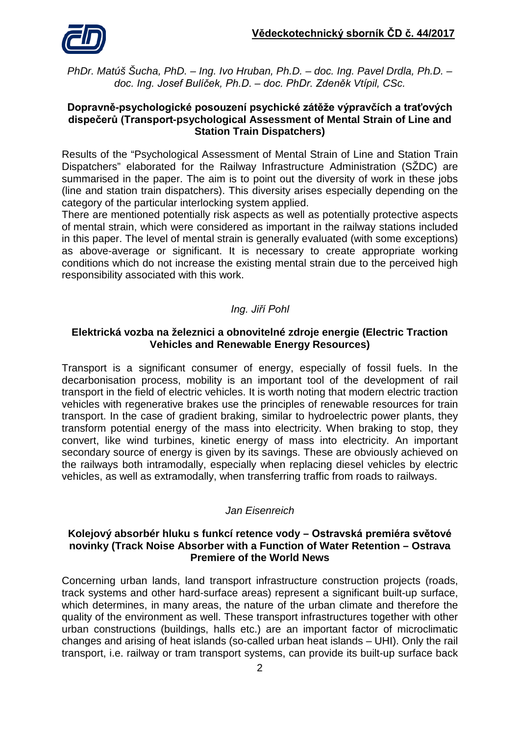

*PhDr. Matúš Šucha, PhD. – Ing. Ivo Hruban, Ph.D. – doc. Ing. Pavel Drdla, Ph.D. – doc. Ing. Josef Bulíček, Ph.D. – doc. PhDr. Zdeněk Vtípil, CSc.*

#### **Dopravně-psychologické posouzení psychické zátěže výpravčích a traťových dispečerů (Transport-psychological Assessment of Mental Strain of Line and Station Train Dispatchers)**

Results of the "Psychological Assessment of Mental Strain of Line and Station Train Dispatchers" elaborated for the Railway Infrastructure Administration (SŽDC) are summarised in the paper. The aim is to point out the diversity of work in these jobs (line and station train dispatchers). This diversity arises especially depending on the category of the particular interlocking system applied.

There are mentioned potentially risk aspects as well as potentially protective aspects of mental strain, which were considered as important in the railway stations included in this paper. The level of mental strain is generally evaluated (with some exceptions) as above-average or significant. It is necessary to create appropriate working conditions which do not increase the existing mental strain due to the perceived high responsibility associated with this work.

# *Ing. Jiří Pohl*

## **Elektrická vozba na železnici a obnovitelné zdroje energie (Electric Traction Vehicles and Renewable Energy Resources)**

Transport is a significant consumer of energy, especially of fossil fuels. In the decarbonisation process, mobility is an important tool of the development of rail transport in the field of electric vehicles. It is worth noting that modern electric traction vehicles with regenerative brakes use the principles of renewable resources for train transport. In the case of gradient braking, similar to hydroelectric power plants, they transform potential energy of the mass into electricity. When braking to stop, they convert, like wind turbines, kinetic energy of mass into electricity. An important secondary source of energy is given by its savings. These are obviously achieved on the railways both intramodally, especially when replacing diesel vehicles by electric vehicles, as well as extramodally, when transferring traffic from roads to railways.

## *Jan Eisenreich*

#### **Kolejový absorbér hluku s funkcí retence vody – Ostravská premiéra světové novinky (Track Noise Absorber with a Function of Water Retention – Ostrava Premiere of the World News**

Concerning urban lands, land transport infrastructure construction projects (roads, track systems and other hard-surface areas) represent a significant built-up surface, which determines, in many areas, the nature of the urban climate and therefore the quality of the environment as well. These transport infrastructures together with other urban constructions (buildings, halls etc.) are an important factor of microclimatic changes and arising of heat islands (so-called urban heat islands – UHI). Only the rail transport, i.e. railway or tram transport systems, can provide its built-up surface back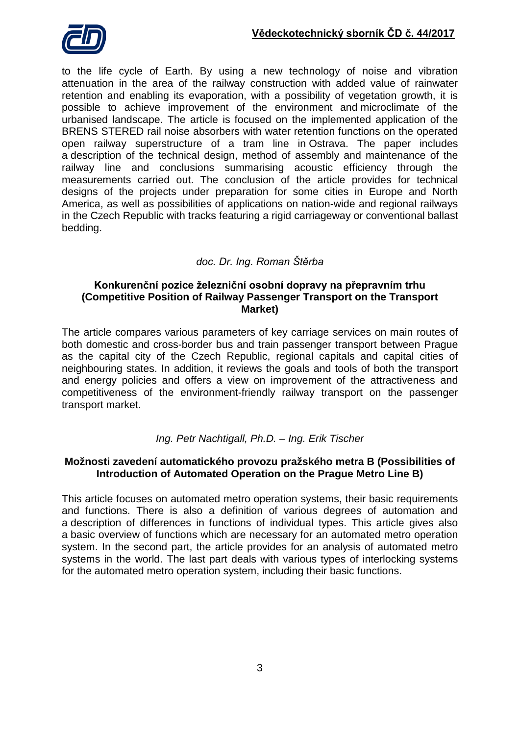

to the life cycle of Earth. By using a new technology of noise and vibration attenuation in the area of the railway construction with added value of rainwater retention and enabling its evaporation, with a possibility of vegetation growth, it is possible to achieve improvement of the environment and microclimate of the urbanised landscape. The article is focused on the implemented application of the BRENS STERED rail noise absorbers with water retention functions on the operated open railway superstructure of a tram line in Ostrava. The paper includes a description of the technical design, method of assembly and maintenance of the railway line and conclusions summarising acoustic efficiency through the measurements carried out. The conclusion of the article provides for technical designs of the projects under preparation for some cities in Europe and North America, as well as possibilities of applications on nation-wide and regional railways in the Czech Republic with tracks featuring a rigid carriageway or conventional ballast bedding.

## *doc. Dr. Ing. Roman Štěrba*

#### **Konkurenční pozice železniční osobní dopravy na přepravním trhu (Competitive Position of Railway Passenger Transport on the Transport Market)**

The article compares various parameters of key carriage services on main routes of both domestic and cross-border bus and train passenger transport between Prague as the capital city of the Czech Republic, regional capitals and capital cities of neighbouring states. In addition, it reviews the goals and tools of both the transport and energy policies and offers a view on improvement of the attractiveness and competitiveness of the environment-friendly railway transport on the passenger transport market.

### *Ing. Petr Nachtigall, Ph.D. – Ing. Erik Tischer*

### **Možnosti zavedení automatického provozu pražského metra B (Possibilities of Introduction of Automated Operation on the Prague Metro Line B)**

This article focuses on automated metro operation systems, their basic requirements and functions. There is also a definition of various degrees of automation and a description of differences in functions of individual types. This article gives also a basic overview of functions which are necessary for an automated metro operation system. In the second part, the article provides for an analysis of automated metro systems in the world. The last part deals with various types of interlocking systems for the automated metro operation system, including their basic functions.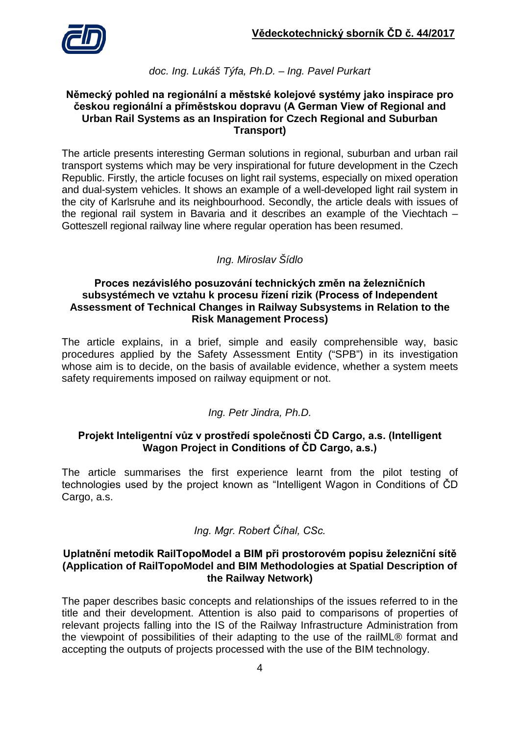

### *doc. Ing. Lukáš Týfa, Ph.D. – Ing. Pavel Purkart*

#### **Německý pohled na regionální a městské kolejové systémy jako inspirace pro českou regionální a příměstskou dopravu (A German View of Regional and Urban Rail Systems as an Inspiration for Czech Regional and Suburban Transport)**

The article presents interesting German solutions in regional, suburban and urban rail transport systems which may be very inspirational for future development in the Czech Republic. Firstly, the article focuses on light rail systems, especially on mixed operation and dual-system vehicles. It shows an example of a well-developed light rail system in the city of Karlsruhe and its neighbourhood. Secondly, the article deals with issues of the regional rail system in Bavaria and it describes an example of the Viechtach – Gotteszell regional railway line where regular operation has been resumed.

# *Ing. Miroslav Šídlo*

#### **Proces nezávislého posuzování technických změn na železničních subsystémech ve vztahu k procesu řízení rizik (Process of Independent Assessment of Technical Changes in Railway Subsystems in Relation to the Risk Management Process)**

The article explains, in a brief, simple and easily comprehensible way, basic procedures applied by the Safety Assessment Entity ("SPB") in its investigation whose aim is to decide, on the basis of available evidence, whether a system meets safety requirements imposed on railway equipment or not.

## *Ing. Petr Jindra, Ph.D.*

## **Projekt Inteligentní vůz v prostředí společnosti ČD Cargo, a.s. (Intelligent Wagon Project in Conditions of ČD Cargo, a.s.)**

The article summarises the first experience learnt from the pilot testing of technologies used by the project known as "Intelligent Wagon in Conditions of ČD Cargo, a.s.

### *Ing. Mgr. Robert Číhal, CSc.*

#### **Uplatnění metodik RailTopoModel a BIM při prostorovém popisu železniční sítě (Application of RailTopoModel and BIM Methodologies at Spatial Description of the Railway Network)**

The paper describes basic concepts and relationships of the issues referred to in the title and their development. Attention is also paid to comparisons of properties of relevant projects falling into the IS of the Railway Infrastructure Administration from the viewpoint of possibilities of their adapting to the use of the railML® format and accepting the outputs of projects processed with the use of the BIM technology.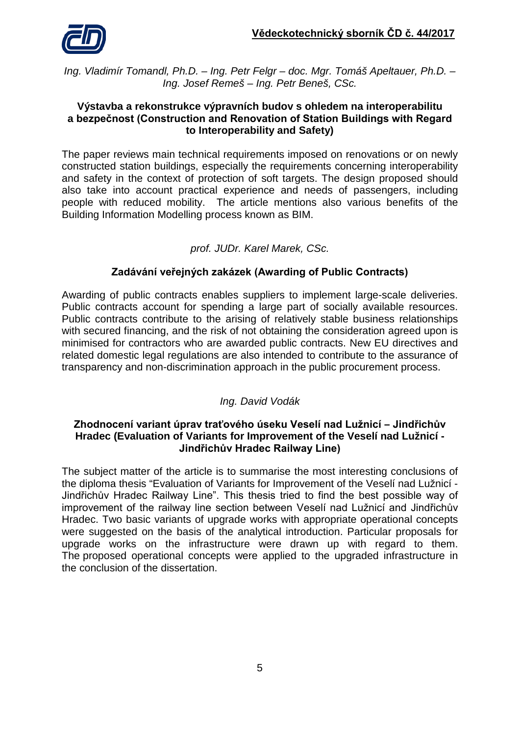

*Ing. Vladimír Tomandl, Ph.D. – Ing. Petr Felgr – doc. Mgr. Tomáš Apeltauer, Ph.D. – Ing. Josef Remeš – Ing. Petr Beneš, CSc.*

#### **Výstavba a rekonstrukce výpravních budov s ohledem na interoperabilitu a bezpečnost (Construction and Renovation of Station Buildings with Regard to Interoperability and Safety)**

The paper reviews main technical requirements imposed on renovations or on newly constructed station buildings, especially the requirements concerning interoperability and safety in the context of protection of soft targets. The design proposed should also take into account practical experience and needs of passengers, including people with reduced mobility. The article mentions also various benefits of the Building Information Modelling process known as BIM.

## *prof. JUDr. Karel Marek, CSc.*

## **Zadávání veřejných zakázek (Awarding of Public Contracts)**

Awarding of public contracts enables suppliers to implement large-scale deliveries. Public contracts account for spending a large part of socially available resources. Public contracts contribute to the arising of relatively stable business relationships with secured financing, and the risk of not obtaining the consideration agreed upon is minimised for contractors who are awarded public contracts. New EU directives and related domestic legal regulations are also intended to contribute to the assurance of transparency and non-discrimination approach in the public procurement process.

## *Ing. David Vodák*

### **Zhodnocení variant úprav traťového úseku Veselí nad Lužnicí – Jindřichův Hradec (Evaluation of Variants for Improvement of the Veselí nad Lužnicí - Jindřichův Hradec Railway Line)**

The subject matter of the article is to summarise the most interesting conclusions of the diploma thesis "Evaluation of Variants for Improvement of the Veselí nad Lužnicí - Jindřichův Hradec Railway Line". This thesis tried to find the best possible way of improvement of the railway line section between Veselí nad Lužnicí and Jindřichův Hradec. Two basic variants of upgrade works with appropriate operational concepts were suggested on the basis of the analytical introduction. Particular proposals for upgrade works on the infrastructure were drawn up with regard to them. The proposed operational concepts were applied to the upgraded infrastructure in the conclusion of the dissertation.